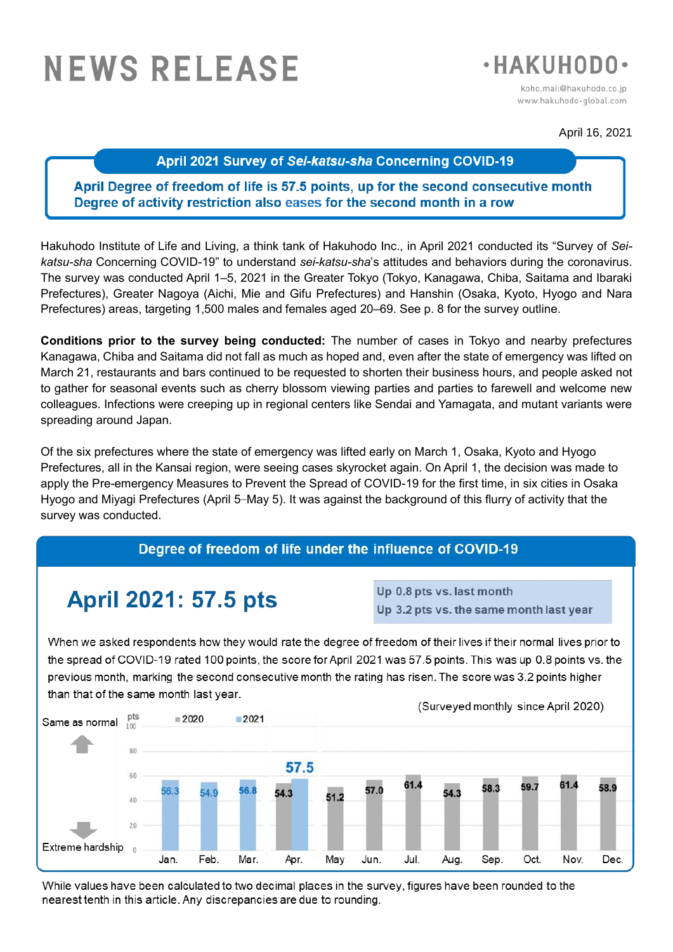# **NEWS RELEASE**



koho.mail@hakuhodo.co.ip www.hakuhodo-global.com

April 16, 2021

#### April 2021 Survey of Sei-katsu-sha Concerning COVID-19

### April Degree of freedom of life is 57.5 points, up for the second consecutive month Degree of activity restriction also eases for the second month in a row

Hakuhodo Institute of Life and Living, a think tank of Hakuhodo Inc., in April 2021 conducted its "Survey of *Seikatsu-sha* Concerning COVID-19" to understand *sei-katsu-sha*'s attitudes and behaviors during the coronavirus. The survey was conducted April 1–5, 2021 in the Greater Tokyo (Tokyo, Kanagawa, Chiba, Saitama and Ibaraki Prefectures), Greater Nagoya (Aichi, Mie and Gifu Prefectures) and Hanshin (Osaka, Kyoto, Hyogo and Nara Prefectures) areas, targeting 1,500 males and females aged 20–69. See p. 8 for the survey outline.

**Conditions prior to the survey being conducted:** The number of cases in Tokyo and nearby prefectures Kanagawa, Chiba and Saitama did not fall as much as hoped and, even after the state of emergency was lifted on March 21, restaurants and bars continued to be requested to shorten their business hours, and people asked not to gather for seasonal events such as cherry blossom viewing parties and parties to farewell and welcome new colleagues. Infections were creeping up in regional centers like Sendai and Yamagata, and mutant variants were spreading around Japan.

Of the six prefectures where the state of emergency was lifted early on March 1, Osaka, Kyoto and Hyogo Prefectures, all in the Kansai region, were seeing cases skyrocket again. On April 1, the decision was made to apply the Pre-emergency Measures to Prevent the Spread of COVID-19 for the first time, in six cities in Osaka Hyogo and Miyagi Prefectures (April 5–May 5). It was against the background of this flurry of activity that the survey was conducted.

## Degree of freedom of life under the influence of COVID-19

# **April 2021: 57.5 pts**

Up 0.8 pts vs. last month Up 3.2 pts vs. the same month last year

When we asked respondents how they would rate the degree of freedom of their lives if their normal lives prior to the spread of COVID-19 rated 100 points, the score for April 2021 was 57.5 points. This was up 0.8 points vs. the previous month, marking the second consecutive month the rating has risen. The score was 3.2 points higher than that of the same month last year.



While values have been calculated to two decimal places in the survey, figures have been rounded to the nearest tenth in this article. Any discrepancies are due to rounding.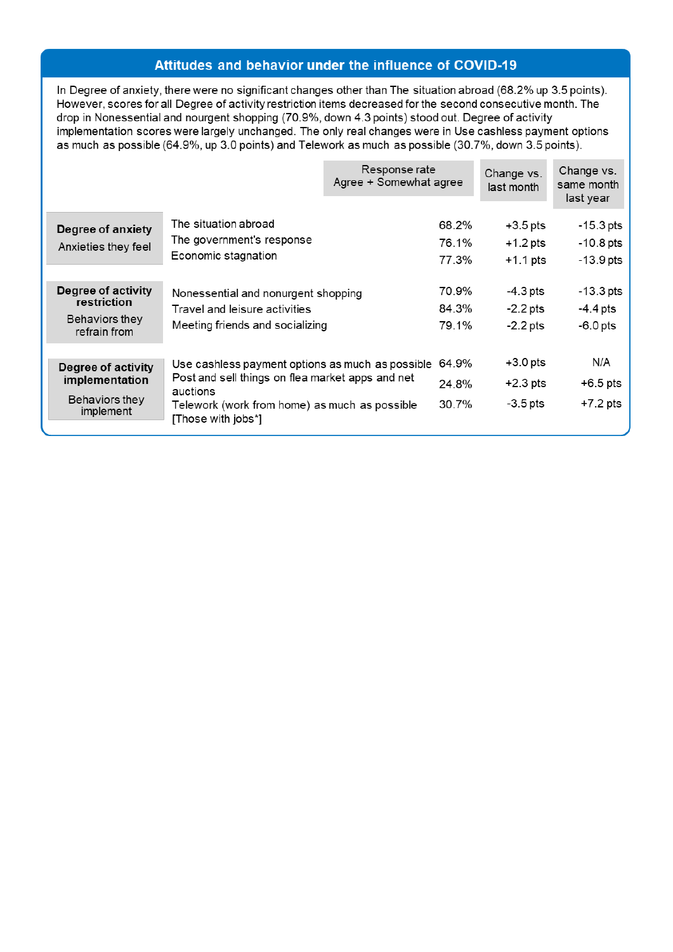#### Attitudes and behavior under the influence of COVID-19

In Degree of anxiety, there were no significant changes other than The situation abroad (68.2% up 3.5 points). However, scores for all Degree of activity restriction items decreased for the second consecutive month. The drop in Nonessential and nourgent shopping (70.9%, down 4.3 points) stood out. Degree of activity implementation scores were largely unchanged. The only real changes were in Use cashless payment options as much as possible (64.9%, up 3.0 points) and Telework as much as possible (30.7%, down 3.5 points).

|                                                                     |                                                                                                                                                                                         | Response rate<br>Agree + Somewhat agree |                         | Change vs.<br>last month               | Change vs.<br>same month<br>last year                |
|---------------------------------------------------------------------|-----------------------------------------------------------------------------------------------------------------------------------------------------------------------------------------|-----------------------------------------|-------------------------|----------------------------------------|------------------------------------------------------|
| Degree of anxiety<br>Anxieties they feel                            | The situation abroad<br>The government's response<br>Economic stagnation                                                                                                                |                                         | 68.2%<br>76.1%<br>77.3% | $+3.5$ pts<br>$+1.2$ pts<br>$+1.1$ pts | $-15.3 \,\mathrm{pts}$<br>$-10.8$ pts<br>$-13.9$ pts |
| Degree of activity<br>restriction<br>Behaviors they<br>refrain from | Nonessential and nonurgent shopping<br>Travel and leisure activities<br>Meeting friends and socializing                                                                                 |                                         | 70.9%<br>84.3%<br>79.1% | -4.3 pts<br>$-2.2$ pts<br>$-2.2$ pts   | $-13.3$ pts<br>$-4.4$ pts<br>$-6.0$ pts              |
| Degree of activity<br>implementation<br>Behaviors they<br>implement | Use cashless payment options as much as possible<br>Post and sell things on flea market apps and net<br>auctions<br>Telework (work from home) as much as possible<br>[Those with jobs*] |                                         | 64.9%<br>24.8%<br>30.7% | $+3.0$ pts<br>$+2.3$ pts<br>$-3.5$ pts | N/A<br>$+6.5$ pts<br>$+7.2$ pts                      |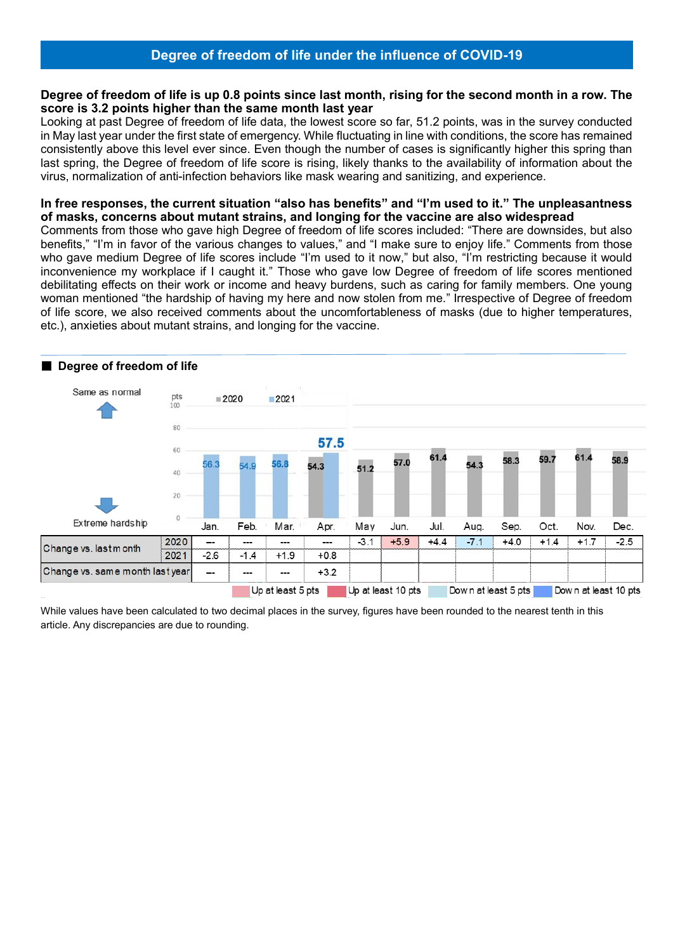#### **Degree of freedom of life is up 0.8 points since last month, rising for the second month in a row. The score is 3.2 points higher than the same month last year**

Looking at past Degree of freedom of life data, the lowest score so far, 51.2 points, was in the survey conducted in May last year under the first state of emergency. While fluctuating in line with conditions, the score has remained consistently above this level ever since. Even though the number of cases is significantly higher this spring than last spring, the Degree of freedom of life score is rising, likely thanks to the availability of information about the virus, normalization of anti-infection behaviors like mask wearing and sanitizing, and experience.

#### **In free responses, the current situation "also has benefits" and "I'm used to it." The unpleasantness of masks, concerns about mutant strains, and longing for the vaccine are also widespread**

Comments from those who gave high Degree of freedom of life scores included: "There are downsides, but also benefits," "I'm in favor of the various changes to values," and "I make sure to enjoy life." Comments from those who gave medium Degree of life scores include "I'm used to it now," but also, "I'm restricting because it would inconvenience my workplace if I caught it." Those who gave low Degree of freedom of life scores mentioned debilitating effects on their work or income and heavy burdens, such as caring for family members. One young woman mentioned "the hardship of having my here and now stolen from me." Irrespective of Degree of freedom of life score, we also received comments about the uncomfortableness of masks (due to higher temperatures, etc.), anxieties about mutant strains, and longing for the vaccine.



While values have been calculated to two decimal places in the survey, figures have been rounded to the nearest tenth in this article. Any discrepancies are due to rounding.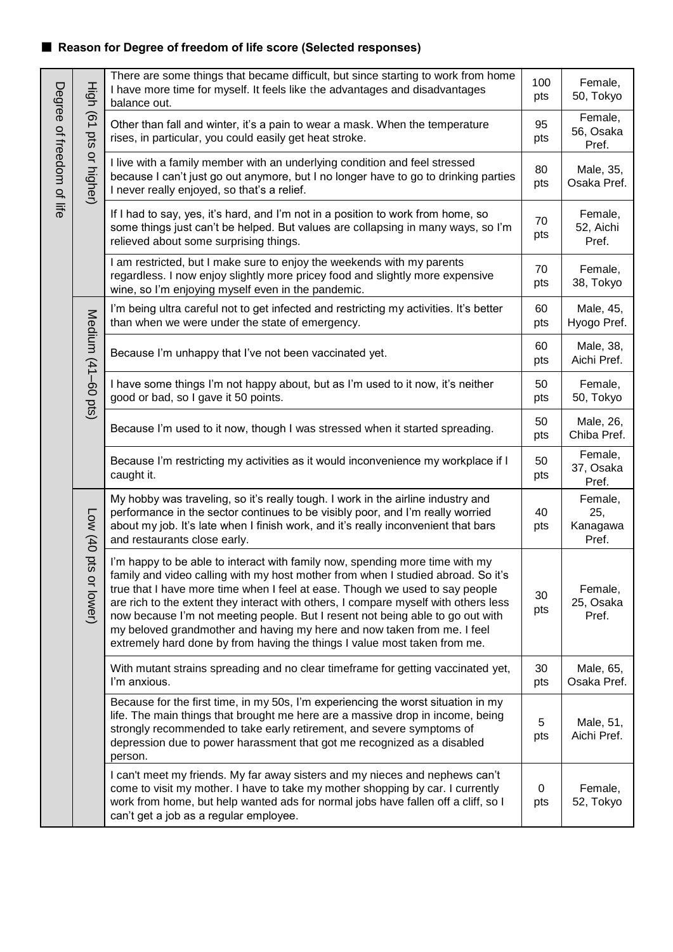# ■ **Reason for Degree of freedom of life score (Selected responses)**

|                           | High                   | There are some things that became difficult, but since starting to work from home<br>I have more time for myself. It feels like the advantages and disadvantages<br>balance out.                                                                                                                                                                                                                                                                                                                                                                                                  | 100<br>pts         | Female,<br>50, Tokyo                |  |
|---------------------------|------------------------|-----------------------------------------------------------------------------------------------------------------------------------------------------------------------------------------------------------------------------------------------------------------------------------------------------------------------------------------------------------------------------------------------------------------------------------------------------------------------------------------------------------------------------------------------------------------------------------|--------------------|-------------------------------------|--|
|                           | $\overline{61}$<br>sid | Other than fall and winter, it's a pain to wear a mask. When the temperature<br>rises, in particular, you could easily get heat stroke.                                                                                                                                                                                                                                                                                                                                                                                                                                           | 95<br>pts          | Female,<br>56, Osaka<br>Pref.       |  |
| Degree of freedom of life | or higher)             | I live with a family member with an underlying condition and feel stressed<br>because I can't just go out anymore, but I no longer have to go to drinking parties<br>never really enjoyed, so that's a relief.                                                                                                                                                                                                                                                                                                                                                                    | 80<br>pts          | Male, 35,<br>Osaka Pref.            |  |
|                           |                        | If I had to say, yes, it's hard, and I'm not in a position to work from home, so<br>some things just can't be helped. But values are collapsing in many ways, so I'm<br>relieved about some surprising things.                                                                                                                                                                                                                                                                                                                                                                    |                    |                                     |  |
|                           |                        | I am restricted, but I make sure to enjoy the weekends with my parents<br>regardless. I now enjoy slightly more pricey food and slightly more expensive<br>wine, so I'm enjoying myself even in the pandemic.                                                                                                                                                                                                                                                                                                                                                                     | 70<br>pts          | Female,<br>38, Tokyo                |  |
|                           |                        | I'm being ultra careful not to get infected and restricting my activities. It's better<br>than when we were under the state of emergency.                                                                                                                                                                                                                                                                                                                                                                                                                                         | 60<br>pts          | Male, 45,<br>Hyogo Pref.            |  |
|                           |                        | Medium (41-60 pts)<br>Because I'm unhappy that I've not been vaccinated yet.<br>have some things I'm not happy about, but as I'm used to it now, it's neither<br>good or bad, so I gave it 50 points.<br>Because I'm used to it now, though I was stressed when it started spreading.                                                                                                                                                                                                                                                                                             |                    | Male, 38,<br>Aichi Pref.            |  |
|                           |                        |                                                                                                                                                                                                                                                                                                                                                                                                                                                                                                                                                                                   |                    | Female,<br>50, Tokyo                |  |
|                           |                        |                                                                                                                                                                                                                                                                                                                                                                                                                                                                                                                                                                                   |                    | Male, 26,<br>Chiba Pref.            |  |
|                           |                        | Because I'm restricting my activities as it would inconvenience my workplace if I<br>caught it.                                                                                                                                                                                                                                                                                                                                                                                                                                                                                   | 50<br>pts          | Female,<br>37, Osaka<br>Pref.       |  |
|                           | Low (40 pts            | My hobby was traveling, so it's really tough. I work in the airline industry and<br>performance in the sector continues to be visibly poor, and I'm really worried<br>about my job. It's late when I finish work, and it's really inconvenient that bars<br>and restaurants close early.                                                                                                                                                                                                                                                                                          | 40<br>pts          | Female,<br>25,<br>Kanagawa<br>Pref. |  |
|                           | or lower)              | I'm happy to be able to interact with family now, spending more time with my<br>family and video calling with my host mother from when I studied abroad. So it's<br>true that I have more time when I feel at ease. Though we used to say people<br>are rich to the extent they interact with others, I compare myself with others less<br>now because I'm not meeting people. But I resent not being able to go out with<br>my beloved grandmother and having my here and now taken from me. I feel<br>extremely hard done by from having the things I value most taken from me. | 30<br>pts          | Female,<br>25, Osaka<br>Pref.       |  |
|                           |                        | With mutant strains spreading and no clear timeframe for getting vaccinated yet,<br>I'm anxious.                                                                                                                                                                                                                                                                                                                                                                                                                                                                                  | 30<br>pts          | Male, 65,<br>Osaka Pref.            |  |
|                           |                        | Because for the first time, in my 50s, I'm experiencing the worst situation in my<br>life. The main things that brought me here are a massive drop in income, being<br>strongly recommended to take early retirement, and severe symptoms of<br>depression due to power harassment that got me recognized as a disabled<br>person.                                                                                                                                                                                                                                                | 5<br>pts           | Male, 51,<br>Aichi Pref.            |  |
|                           |                        | I can't meet my friends. My far away sisters and my nieces and nephews can't<br>come to visit my mother. I have to take my mother shopping by car. I currently<br>work from home, but help wanted ads for normal jobs have fallen off a cliff, so I<br>can't get a job as a regular employee.                                                                                                                                                                                                                                                                                     | $\mathbf 0$<br>pts | Female,<br>52, Tokyo                |  |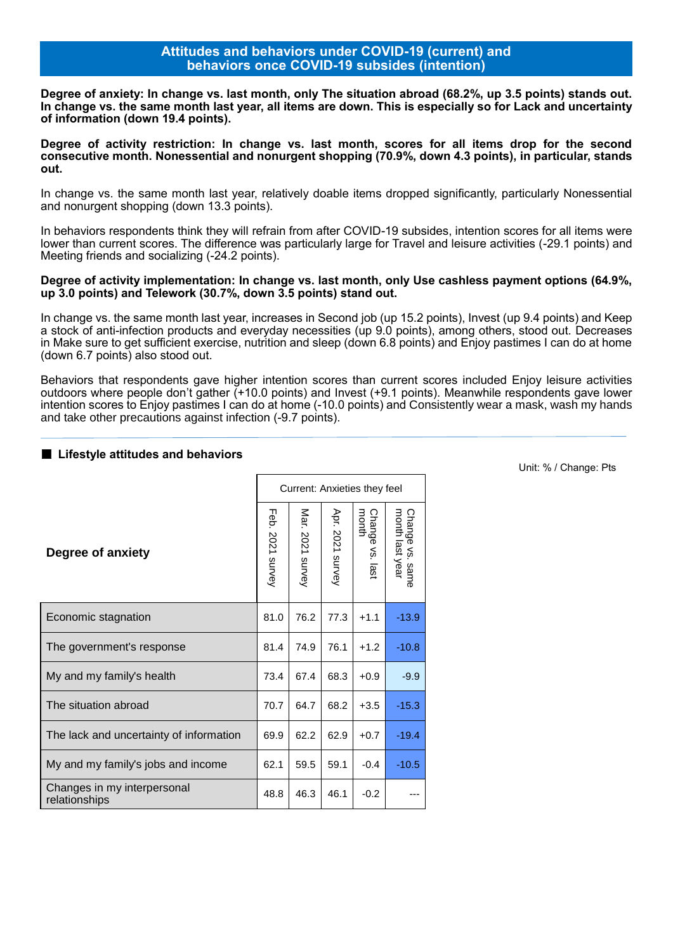#### **Attitudes and behaviors under COVID-19 (current) and behaviors once COVID-19 subsides (intention)**

**Degree of anxiety: In change vs. last month, only The situation abroad (68.2%, up 3.5 points) stands out. In change vs. the same month last year, all items are down. This is especially so for Lack and uncertainty of information (down 19.4 points).**

**Degree of activity restriction: In change vs. last month, scores for all items drop for the second consecutive month. Nonessential and nonurgent shopping (70.9%, down 4.3 points), in particular, stands out.**

In change vs. the same month last year, relatively doable items dropped significantly, particularly Nonessential and nonurgent shopping (down 13.3 points).

In behaviors respondents think they will refrain from after COVID-19 subsides, intention scores for all items were lower than current scores. The difference was particularly large for Travel and leisure activities (-29.1 points) and Meeting friends and socializing (-24.2 points).

#### **Degree of activity implementation: In change vs. last month, only Use cashless payment options (64.9%, up 3.0 points) and Telework (30.7%, down 3.5 points) stand out.**

In change vs. the same month last year, increases in Second job (up 15.2 points), Invest (up 9.4 points) and Keep a stock of anti-infection products and everyday necessities (up 9.0 points), among others, stood out. Decreases in Make sure to get sufficient exercise, nutrition and sleep (down 6.8 points) and Enjoy pastimes I can do at home (down 6.7 points) also stood out.

Behaviors that respondents gave higher intention scores than current scores included Enjoy leisure activities outdoors where people don't gather (+10.0 points) and Invest (+9.1 points). Meanwhile respondents gave lower intention scores to Enjoy pastimes I can do at home (-10.0 points) and Consistently wear a mask, wash my hands and take other precautions against infection (-9.7 points).

#### ■ Lifestyle attitudes and behaviors

|                                              | Current: Anxieties they feel |                     |                  |                       |                                       |
|----------------------------------------------|------------------------------|---------------------|------------------|-----------------------|---------------------------------------|
| Degree of anxiety                            | Feb.<br>2021 survey          | Mar.<br>2021 survey | Apr. 2021 survey | Change<br>'ે.<br>last | month last year<br>Change vs.<br>same |
| Economic stagnation                          | 81.0                         | 76.2                | 77.3             | $+1.1$                | $-13.9$                               |
| The government's response                    | 81.4                         | 74.9                | 76.1             | $+1.2$                | $-10.8$                               |
| My and my family's health                    | 73.4                         | 67.4                | 68.3             | $+0.9$                | $-9.9$                                |
| The situation abroad                         | 70.7                         | 64.7                | 68.2             | $+3.5$                | $-15.3$                               |
| The lack and uncertainty of information      | 69.9                         | 62.2                | 62.9             | $+0.7$                | $-19.4$                               |
| My and my family's jobs and income           | 62.1                         | 59.5                | 59.1             | $-0.4$                | $-10.5$                               |
| Changes in my interpersonal<br>relationships | 48.8                         | 46.3                | 46.1             | $-0.2$                |                                       |

Unit: % / Change: Pts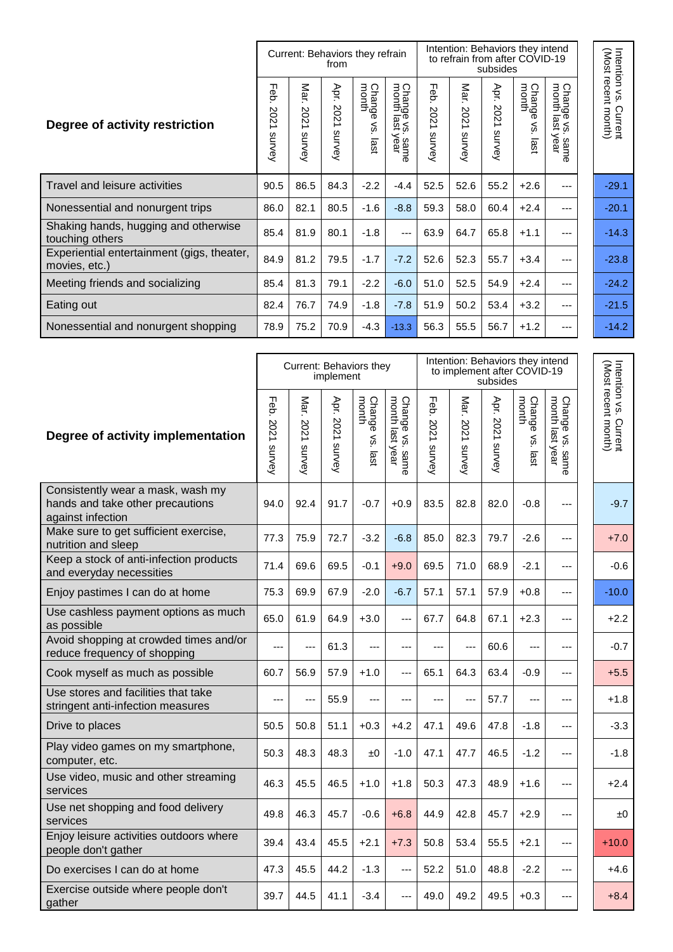|                                                             | Current: Behaviors they refrain<br>from |                       |                        | Intention: Behaviors they intend<br>to refrain from after COVID-19<br>subsides |                                                                              |                        |                        |                        |                               |                                         |                                              |
|-------------------------------------------------------------|-----------------------------------------|-----------------------|------------------------|--------------------------------------------------------------------------------|------------------------------------------------------------------------------|------------------------|------------------------|------------------------|-------------------------------|-----------------------------------------|----------------------------------------------|
| Degree of activity restriction                              | Feb.<br>202<br>∸<br>survey              | Mar.<br>202<br>survey | Apr.<br>2021<br>survey | Change<br>month<br>š<br>last                                                   | <b>Chang</b><br>month<br>$\overline{\omega}$ $\Phi$<br>¤≤<br>:. same<br>year | Feb.<br>2021<br>survey | Mar.<br>2021<br>survey | Apr.<br>2021<br>survey | Change<br>month<br>Š.<br>last | Chang<br>month<br>le vs<br>year<br>same | Intention vs. Current<br>(Most recent month) |
| Travel and leisure activities                               | 90.5                                    | 86.5                  | 84.3                   | $-2.2$                                                                         | $-4.4$                                                                       | 52.5                   | 52.6                   | 55.2                   | $+2.6$                        | ---                                     | $-29.1$                                      |
| Nonessential and nonurgent trips                            | 86.0                                    | 82.1                  | 80.5                   | $-1.6$                                                                         | $-8.8$                                                                       | 59.3                   | 58.0                   | 60.4                   | $+2.4$                        | ---                                     | $-20.1$                                      |
| Shaking hands, hugging and otherwise<br>touching others     | 85.4                                    | 81.9                  | 80.1                   | $-1.8$                                                                         | ---                                                                          | 63.9                   | 64.7                   | 65.8                   | $+1.1$                        | ---                                     | $-14.3$                                      |
| Experiential entertainment (gigs, theater,<br>movies, etc.) | 84.9                                    | 81.2                  | 79.5                   | $-1.7$                                                                         | $-7.2$                                                                       | 52.6                   | 52.3                   | 55.7                   | $+3.4$                        | ---                                     | $-23.8$                                      |
| Meeting friends and socializing                             | 85.4                                    | 81.3                  | 79.1                   | $-2.2$                                                                         | $-6.0$                                                                       | 51.0                   | 52.5                   | 54.9                   | $+2.4$                        | ---                                     | $-24.2$                                      |
| Eating out                                                  | 82.4                                    | 76.7                  | 74.9                   | $-1.8$                                                                         | $-7.8$                                                                       | 51.9                   | 50.2                   | 53.4                   | $+3.2$                        | ---                                     | $-21.5$                                      |
| Nonessential and nonurgent shopping                         | 78.9                                    | 75.2                  | 70.9                   | $-4.3$                                                                         | $-13.3$                                                                      | 56.3                   | 55.5                   | 56.7                   | $+1.2$                        | ---                                     | $-14.2$                                      |

 $\mathbf{r}$ 

|                                                                                            |                            |                     | Current: Behaviors they<br>implement |                                         |                                    | Intention: Behaviors they intend<br>to implement after COVID-19<br>subsides |                     |                            |                          |                                              |  |                                              |
|--------------------------------------------------------------------------------------------|----------------------------|---------------------|--------------------------------------|-----------------------------------------|------------------------------------|-----------------------------------------------------------------------------|---------------------|----------------------------|--------------------------|----------------------------------------------|--|----------------------------------------------|
| Degree of activity implementation                                                          | <b>Feb.</b><br>2021 survey | Mar.<br>2021 survey | Apr.<br>S021 survey                  | <b>Change</b><br>month<br>\$۶<br>. last | Change vs. same<br>month last year | Feb.<br>2021 survey                                                         | Mar.<br>S021 survey | Apr.<br><b>2021 survey</b> | month<br>Change vs. last | Change vs. sam<br>month last year<br>- same. |  | Intention vs. Current<br>(Most recent month) |
| Consistently wear a mask, wash my<br>hands and take other precautions<br>against infection | 94.0                       | 92.4                | 91.7                                 | $-0.7$                                  | $+0.9$                             | 83.5                                                                        | 82.8                | 82.0                       | $-0.8$                   |                                              |  | $-9.7$                                       |
| Make sure to get sufficient exercise,<br>nutrition and sleep                               | 77.3                       | 75.9                | 72.7                                 | $-3.2$                                  | $-6.8$                             | 85.0                                                                        | 82.3                | 79.7                       | $-2.6$                   | $---$                                        |  | $+7.0$                                       |
| Keep a stock of anti-infection products<br>and everyday necessities                        | 71.4                       | 69.6                | 69.5                                 | $-0.1$                                  | $+9.0$                             | 69.5                                                                        | 71.0                | 68.9                       | $-2.1$                   | $---$                                        |  | $-0.6$                                       |
| Enjoy pastimes I can do at home                                                            | 75.3                       | 69.9                | 67.9                                 | $-2.0$                                  | $-6.7$                             | 57.1                                                                        | 57.1                | 57.9                       | $+0.8$                   | $\overline{a}$                               |  | $-10.0$                                      |
| Use cashless payment options as much<br>as possible                                        | 65.0                       | 61.9                | 64.9                                 | $+3.0$                                  | $---$                              | 67.7                                                                        | 64.8                | 67.1                       | $+2.3$                   | $---$                                        |  | $+2.2$                                       |
| Avoid shopping at crowded times and/or<br>reduce frequency of shopping                     | ---                        | ---                 | 61.3                                 | ---                                     | ---                                | ---                                                                         | $-$                 | 60.6                       | ---                      | $\overline{a}$                               |  | $-0.7$                                       |
| Cook myself as much as possible                                                            | 60.7                       | 56.9                | 57.9                                 | $+1.0$                                  | ---                                | 65.1                                                                        | 64.3                | 63.4                       | $-0.9$                   | $\overline{a}$                               |  | $+5.5$                                       |
| Use stores and facilities that take<br>stringent anti-infection measures                   | ---                        | ---                 | 55.9                                 | ---                                     | ---                                | ---                                                                         | ---                 | 57.7                       | ---                      | $\overline{a}$                               |  | $+1.8$                                       |
| Drive to places                                                                            | 50.5                       | 50.8                | 51.1                                 | $+0.3$                                  | $+4.2$                             | 47.1                                                                        | 49.6                | 47.8                       | $-1.8$                   | $\overline{a}$                               |  | $-3.3$                                       |
| Play video games on my smartphone,<br>computer, etc.                                       | 50.3                       | 48.3                | 48.3                                 | ±0                                      | $-1.0$                             | 47.1                                                                        | 47.7                | 46.5                       | $-1.2$                   | $\overline{a}$                               |  | $-1.8$                                       |
| Use video, music and other streaming<br>services                                           | 46.3                       | 45.5                | 46.5                                 | $+1.0$                                  | $+1.8$                             | 50.3                                                                        | 47.3                | 48.9                       | $+1.6$                   | $\overline{a}$                               |  | $+2.4$                                       |
| Use net shopping and food delivery<br>services                                             | 49.8                       | 46.3                | 45.7                                 | $-0.6$                                  | $+6.8$                             | 44.9                                                                        | 42.8                | 45.7                       | $+2.9$                   | $---$                                        |  | ±0                                           |
| Enjoy leisure activities outdoors where<br>people don't gather                             | 39.4                       | 43.4                | 45.5                                 | $+2.1$                                  | $+7.3$                             | 50.8                                                                        | 53.4                | 55.5                       | $+2.1$                   | $\overline{a}$                               |  | $+10.0$                                      |
| Do exercises I can do at home                                                              | 47.3                       | 45.5                | 44.2                                 | $-1.3$                                  | ---                                | 52.2                                                                        | 51.0                | 48.8                       | $-2.2$                   | ---                                          |  | $+4.6$                                       |
| Exercise outside where people don't<br>gather                                              | 39.7                       | 44.5                | 41.1                                 | $-3.4$                                  | ---                                | 49.0                                                                        | 49.2                | 49.5                       | $+0.3$                   | ---                                          |  | $+8.4$                                       |

Intention vs. Current ي<br>ح linent

Intention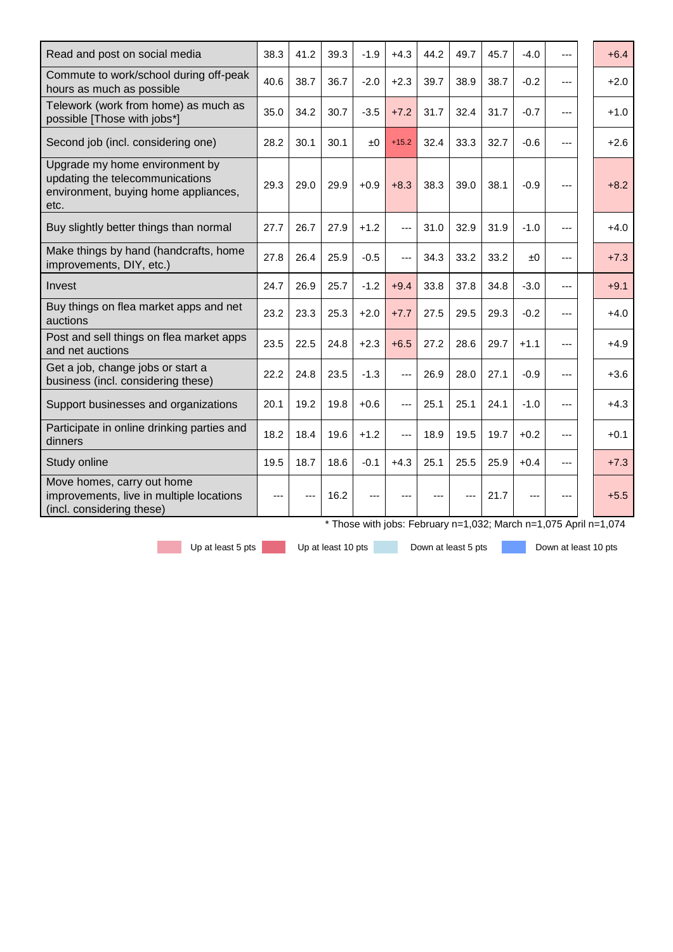| Read and post on social media                                                                                     | 38.3 | 41.2 | 39.3 | $-1.9$ | $+4.3$  | 44.2 | 49.7 | 45.7 | $-4.0$ |       | $+6.4$                                                           |
|-------------------------------------------------------------------------------------------------------------------|------|------|------|--------|---------|------|------|------|--------|-------|------------------------------------------------------------------|
| Commute to work/school during off-peak<br>hours as much as possible                                               | 40.6 | 38.7 | 36.7 | $-2.0$ | $+2.3$  | 39.7 | 38.9 | 38.7 | $-0.2$ | ---   | $+2.0$                                                           |
| Telework (work from home) as much as<br>possible [Those with jobs*]                                               | 35.0 | 34.2 | 30.7 | $-3.5$ | $+7.2$  | 31.7 | 32.4 | 31.7 | $-0.7$ | $---$ | $+1.0$                                                           |
| Second job (incl. considering one)                                                                                | 28.2 | 30.1 | 30.1 | ±0     | $+15.2$ | 32.4 | 33.3 | 32.7 | $-0.6$ | ---   | $+2.6$                                                           |
| Upgrade my home environment by<br>updating the telecommunications<br>environment, buying home appliances,<br>etc. | 29.3 | 29.0 | 29.9 | $+0.9$ | $+8.3$  | 38.3 | 39.0 | 38.1 | $-0.9$ | ---   | $+8.2$                                                           |
| Buy slightly better things than normal                                                                            | 27.7 | 26.7 | 27.9 | $+1.2$ | ---     | 31.0 | 32.9 | 31.9 | $-1.0$ | ---   | $+4.0$                                                           |
| Make things by hand (handcrafts, home<br>improvements, DIY, etc.)                                                 | 27.8 | 26.4 | 25.9 | $-0.5$ | ---     | 34.3 | 33.2 | 33.2 | ±0     | ---   | $+7.3$                                                           |
| Invest                                                                                                            | 24.7 | 26.9 | 25.7 | $-1.2$ | $+9.4$  | 33.8 | 37.8 | 34.8 | $-3.0$ | ---   | $+9.1$                                                           |
| Buy things on flea market apps and net<br>auctions                                                                | 23.2 | 23.3 | 25.3 | $+2.0$ | $+7.7$  | 27.5 | 29.5 | 29.3 | $-0.2$ | ---   | $+4.0$                                                           |
| Post and sell things on flea market apps<br>and net auctions                                                      | 23.5 | 22.5 | 24.8 | $+2.3$ | $+6.5$  | 27.2 | 28.6 | 29.7 | $+1.1$ | ---   | $+4.9$                                                           |
| Get a job, change jobs or start a<br>business (incl. considering these)                                           | 22.2 | 24.8 | 23.5 | $-1.3$ | ---     | 26.9 | 28.0 | 27.1 | $-0.9$ | ---   | $+3.6$                                                           |
| Support businesses and organizations                                                                              | 20.1 | 19.2 | 19.8 | $+0.6$ | ---     | 25.1 | 25.1 | 24.1 | $-1.0$ | ---   | $+4.3$                                                           |
| Participate in online drinking parties and<br>dinners                                                             | 18.2 | 18.4 | 19.6 | $+1.2$ |         | 18.9 | 19.5 | 19.7 | $+0.2$ | ---   | $+0.1$                                                           |
| Study online                                                                                                      | 19.5 | 18.7 | 18.6 | $-0.1$ | $+4.3$  | 25.1 | 25.5 | 25.9 | $+0.4$ | ---   | $+7.3$                                                           |
| Move homes, carry out home<br>improvements, live in multiple locations<br>(incl. considering these)               | ---  |      | 16.2 |        |         |      |      | 21.7 |        |       | $+5.5$                                                           |
|                                                                                                                   |      |      |      |        |         |      |      |      |        |       | * Those with jobs: February n=1,032; March n=1,075 April n=1,074 |

Up at least 5 pts Up at least 10 pts Down at least 5 pts Down at least 10 pts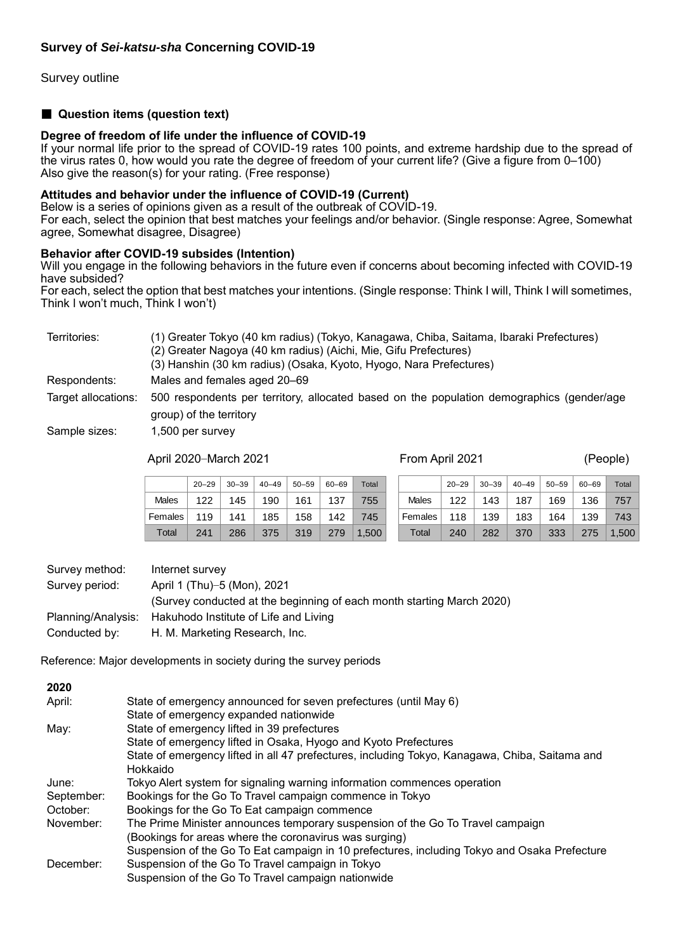Survey outline

#### ■ **Question items (question text)**

#### **Degree of freedom of life under the influence of COVID-19**

If your normal life prior to the spread of COVID-19 rates 100 points, and extreme hardship due to the spread of the virus rates 0, how would you rate the degree of freedom of your current life? (Give a figure from 0–100) Also give the reason(s) for your rating. (Free response)

#### **Attitudes and behavior under the influence of COVID-19 (Current)**

Below is a series of opinions given as a result of the outbreak of COVID-19.

For each, select the opinion that best matches your feelings and/or behavior. (Single response: Agree, Somewhat agree, Somewhat disagree, Disagree)

#### **Behavior after COVID-19 subsides (Intention)**

Will you engage in the following behaviors in the future even if concerns about becoming infected with COVID-19 have subsided?

For each, select the option that best matches your intentions. (Single response: Think I will, Think I will sometimes, Think l won't much, Think I won't)

| Territories:        | (1) Greater Tokyo (40 km radius) (Tokyo, Kanagawa, Chiba, Saitama, Ibaraki Prefectures)<br>(2) Greater Nagoya (40 km radius) (Aichi, Mie, Gifu Prefectures)<br>(3) Hanshin (30 km radius) (Osaka, Kyoto, Hyogo, Nara Prefectures) |
|---------------------|-----------------------------------------------------------------------------------------------------------------------------------------------------------------------------------------------------------------------------------|
| Respondents:        | Males and females aged 20–69                                                                                                                                                                                                      |
| Target allocations: | 500 respondents per territory, allocated based on the population demographics (gender/age<br>group) of the territory                                                                                                              |
| Sample sizes:       | 1,500 per survey                                                                                                                                                                                                                  |

#### April 2020–March 2021 From April 2021 (People)

20–29 | 30–39 | 40–49 | 50–59 | 60–69 | Total Males | 122 | 145 | 190 | 161 | 137 | 755 Females 119 141 185 158 142 745 Total 241 286 375 319 279 1.500  $20-29$  30–39 40–49 50–59 60–69 Total Males | 122 | 143 | 187 | 169 | 136 | 757 Females 118 | 139 | 183 | 164 | 139 | 743 Total 240 282 370 333 275 1.500

| Survey method: | Internet survey                                                       |
|----------------|-----------------------------------------------------------------------|
| Survey period: | April 1 (Thu)-5 (Mon), 2021                                           |
|                | (Survey conducted at the beginning of each month starting March 2020) |
|                | Planning/Analysis: Hakuhodo Institute of Life and Living              |
| Conducted by:  | H. M. Marketing Research, Inc.                                        |

Reference: Major developments in society during the survey periods

| 2020       |                                                                                                |
|------------|------------------------------------------------------------------------------------------------|
| April:     | State of emergency announced for seven prefectures (until May 6)                               |
|            | State of emergency expanded nationwide                                                         |
| May:       | State of emergency lifted in 39 prefectures                                                    |
|            | State of emergency lifted in Osaka, Hyogo and Kyoto Prefectures                                |
|            | State of emergency lifted in all 47 prefectures, including Tokyo, Kanagawa, Chiba, Saitama and |
|            | Hokkaido                                                                                       |
| June:      | Tokyo Alert system for signaling warning information commences operation                       |
| September: | Bookings for the Go To Travel campaign commence in Tokyo                                       |
| October:   | Bookings for the Go To Eat campaign commence                                                   |
| November:  | The Prime Minister announces temporary suspension of the Go To Travel campaign                 |
|            | (Bookings for areas where the coronavirus was surging)                                         |
|            | Suspension of the Go To Eat campaign in 10 prefectures, including Tokyo and Osaka Prefecture   |
| December:  | Suspension of the Go To Travel campaign in Tokyo                                               |
|            | Suspension of the Go To Travel campaign nationwide                                             |